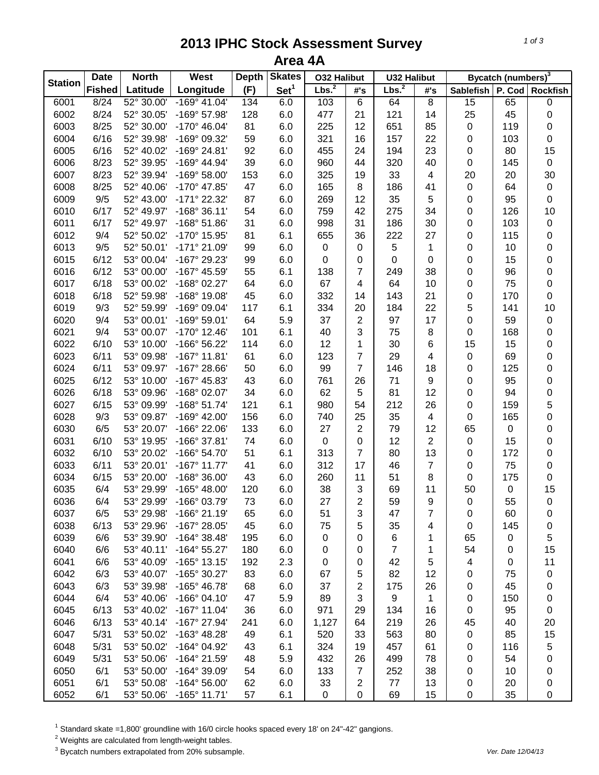## **2013 IPHC Stock Assessment Survey Area 4A**

| <b>Station</b> | <b>Date</b>   | <b>North</b> | West                  | <b>Depth</b> | <b>Skates</b>    | <b>O32 Halibut</b> |                | <b>U32 Halibut</b> |                         | Bycatch (numbers) <sup>3</sup> |                  |             |
|----------------|---------------|--------------|-----------------------|--------------|------------------|--------------------|----------------|--------------------|-------------------------|--------------------------------|------------------|-------------|
|                | <b>Fished</b> | Latitude     | Longitude             | (F)          | Set <sup>1</sup> | Lbs. <sup>2</sup>  | #'s            | Lbs. <sup>2</sup>  | #'s                     | Sablefish   P. Cod   Rockfish  |                  |             |
| 6001           | 8/24          | 52° 30.00'   | $-169°$ 41.04'        | 134          | 6.0              | 103                | $\overline{6}$ | 64                 | $\overline{8}$          | 15                             | 65               | 0           |
| 6002           | 8/24          | 52° 30.05'   | -169° 57.98'          | 128          | 6.0              | 477                | 21             | 121                | 14                      | 25                             | 45               | $\mathbf 0$ |
| 6003           | 8/25          | 52° 30.00'   | $-170^{\circ}$ 46.04' | 81           | 6.0              | 225                | 12             | 651                | 85                      | 0                              | 119              | 0           |
| 6004           | 6/16          | 52° 39.98'   | -169° 09.32'          | 59           | 6.0              | 321                | 16             | 157                | 22                      | 0                              | 103              | 0           |
| 6005           | 6/16          | 52° 40.02'   | -169° 24.81'          | 92           | 6.0              | 455                | 24             | 194                | 23                      | 0                              | 80               | 15          |
| 6006           | 8/23          | 52° 39.95'   | -169° 44.94'          | 39           | 6.0              | 960                | 44             | 320                | 40                      | 0                              | 145              | $\mathbf 0$ |
| 6007           | 8/23          | 52° 39.94'   | $-169°58.00'$         | 153          | 6.0              | 325                | 19             | 33                 | 4                       | 20                             | 20               | 30          |
| 6008           | 8/25          | 52° 40.06'   | -170° 47.85'          | 47           | 6.0              | 165                | 8              | 186                | 41                      | 0                              | 64               | $\pmb{0}$   |
| 6009           | 9/5           | 52° 43.00'   | -171° 22.32'          | 87           | 6.0              | 269                | 12             | 35                 | 5                       | 0                              | 95               | $\mathbf 0$ |
| 6010           | 6/17          | 52° 49.97'   | $-168°36.11'$         | 54           | 6.0              | 759                | 42             | 275                | 34                      | 0                              | 126              | 10          |
| 6011           | 6/17          | 52° 49.97'   | $-168°51.86'$         | 31           | 6.0              | 998                | 31             | 186                | 30                      | 0                              | 103              | 0           |
| 6012           | 9/4           | 52° 50.02'   | -170° 15.95'          | 81           | 6.1              | 655                | 36             | 222                | 27                      | 0                              | 115              | 0           |
| 6013           | 9/5           | 52° 50.01'   | -171° 21.09'          | 99           | 6.0              | 0                  | 0              | 5                  | 1                       | 0                              | 10               | 0           |
| 6015           | 6/12          | 53° 00.04'   | -167° 29.23'          | 99           | 6.0              | 0                  | 0              | $\mathbf 0$        | $\pmb{0}$               | 0                              | 15               | 0           |
| 6016           | 6/12          | 53° 00.00'   | -167° 45.59'          | 55           | 6.1              | 138                | 7              | 249                | 38                      | 0                              | 96               | 0           |
| 6017           | 6/18          | 53° 00.02'   | -168° 02.27'          | 64           | 6.0              | 67                 | 4              | 64                 | 10                      | 0                              | 75               | $\pmb{0}$   |
| 6018           | 6/18          | 52° 59.98'   | -168° 19.08'          | 45           | 6.0              | 332                | 14             | 143                | 21                      | 0                              | 170              | $\pmb{0}$   |
| 6019           | 9/3           | 52° 59.99'   | -169° 09.04'          | 117          | 6.1              | 334                | 20             | 184                | 22                      | 5                              | 141              | 10          |
| 6020           | 9/4           | 53° 00.01'   | -169° 59.01'          | 64           | 5.9              | 37                 | $\overline{2}$ | 97                 | 17                      | 0                              | 59               | $\pmb{0}$   |
| 6021           | 9/4           | 53° 00.07'   | $-170^{\circ}$ 12.46' | 101          | 6.1              | 40                 | 3              | 75                 | 8                       | 0                              | 168              | $\pmb{0}$   |
| 6022           | 6/10          | 53° 10.00'   | -166° 56.22'          | 114          | 6.0              | 12                 | 1              | 30                 | 6                       | 15                             | 15               | 0           |
| 6023           | 6/11          | 53° 09.98'   | $-167°$ 11.81'        | 61           | 6.0              | 123                | 7              | 29                 | 4                       | 0                              | 69               | 0           |
| 6024           | 6/11          | 53° 09.97'   | $-167^{\circ}$ 28.66' | 50           | 6.0              | 99                 | $\overline{7}$ | 146                | 18                      | 0                              | 125              | 0           |
|                | 6/12          | 53° 10.00'   | -167° 45.83'          | 43           |                  |                    | 26             | 71                 | 9                       |                                | 95               | 0           |
| 6025           |               |              |                       |              | 6.0              | 761                |                |                    |                         | 0                              |                  |             |
| 6026           | 6/18          | 53° 09.96'   | -168° 02.07'          | 34           | 6.0              | 62                 | 5              | 81                 | 12                      | 0                              | 94               | $\mathbf 0$ |
| 6027           | 6/15          | 53° 09.99'   | $-168°51.74'$         | 121          | 6.1              | 980                | 54             | 212                | 26                      | 0                              | 159              | 5           |
| 6028           | 9/3           | 53° 09.87'   | -169° 42.00'          | 156          | 6.0              | 740                | 25             | 35                 | $\overline{\mathbf{4}}$ | 0                              | 165              | $\mathbf 0$ |
| 6030           | 6/5           | 53° 20.07'   | -166° 22.06'          | 133          | 6.0              | 27                 | $\overline{2}$ | 79                 | 12                      | 65                             | $\pmb{0}$        | $\mathbf 0$ |
| 6031           | 6/10          | 53° 19.95'   | -166° 37.81'          | 74           | 6.0              | 0                  | 0              | 12                 | $\overline{2}$          | 0                              | 15               | 0           |
| 6032           | 6/10          | 53° 20.02'   | -166° 54.70'          | 51           | 6.1              | 313                | $\overline{7}$ | 80                 | 13                      | 0                              | 172              | 0           |
| 6033           | 6/11          | 53° 20.01'   | $-167^\circ$ 11.77'   | 41           | 6.0              | 312                | 17             | 46                 | $\overline{7}$          | 0                              | 75               | 0           |
| 6034           | 6/15          | 53° 20.00'   | $-168°36.00'$         | 43           | 6.0              | 260                | 11             | 51                 | 8                       | 0                              | 175              | $\pmb{0}$   |
| 6035           | 6/4           | 53° 29.99'   | -165° 48.00'          | 120          | 6.0              | 38                 | 3              | 69                 | 11                      | 50                             | 0                | 15          |
| 6036           | 6/4           | 53° 29.99'   | -166° 03.79'          | 73           | 6.0              | 27                 | $\overline{2}$ | 59                 | 9                       | 0                              | 55               | $\mathbf 0$ |
| 6037           | 6/5           | 53° 29.98'   | -166° 21.19'          | 65           | 6.0              | 51                 | 3              | 47                 | 7                       | 0                              | 60               | 0           |
| 6038           | 6/13          | 53° 29.96'   | -167° 28.05'          | 45           | 6.0              | 75                 | 5              | 35                 | 4                       | 0                              | 145              | 0           |
| 6039           | 6/6           | 53° 39.90'   | $-164^{\circ}$ 38.48' | 195          | 6.0              | 0                  | 0              | 6                  | 1                       | 65                             | 0                | 5           |
| 6040           | 6/6           | 53° 40.11'   | $-164^{\circ} 55.27'$ | 180          | 6.0              | 0                  | 0              | 7                  | 1                       | 54                             | 0                | 15          |
| 6041           | 6/6           | 53° 40.09'   | $-165^\circ$ 13.15'   | 192          | 2.3              | 0                  | 0              | 42                 | 5                       | 4                              | $\boldsymbol{0}$ | 11          |
| 6042           | 6/3           | 53° 40.07'   | -165° 30.27'          | 83           | 6.0              | 67                 | 5              | 82                 | 12                      | 0                              | 75               | $\,0\,$     |
| 6043           | 6/3           | 53° 39.98'   | -165° 46.78'          | 68           | 6.0              | 37                 | $\overline{2}$ | 175                | 26                      | 0                              | 45               | $\,0\,$     |
| 6044           | 6/4           | 53° 40.06'   | $-166°04.10'$         | 47           | 5.9              | 89                 | 3              | 9                  | 1                       | 0                              | 150              | $\,0\,$     |
| 6045           | 6/13          | 53° 40.02'   | $-167°$ 11.04'        | 36           | 6.0              | 971                | 29             | 134                | 16                      | 0                              | 95               | $\pmb{0}$   |
| 6046           | 6/13          | 53° 40.14'   | -167° 27.94'          | 241          | 6.0              | 1,127              | 64             | 219                | 26                      | 45                             | 40               | 20          |
| 6047           | 5/31          | 53° 50.02'   | -163° 48.28'          | 49           | 6.1              | 520                | 33             | 563                | 80                      | 0                              | 85               | 15          |
| 6048           | 5/31          | 53° 50.02'   | -164° 04.92'          | 43           | 6.1              | 324                | 19             | 457                | 61                      | 0                              | 116              | 5           |
| 6049           | 5/31          | 53° 50.06'   | $-164^{\circ}$ 21.59' | 48           | 5.9              | 432                | 26             | 499                | 78                      | 0                              | 54               | 0           |
| 6050           | 6/1           | 53° 50.00'   | -164° 39.09'          | 54           | 6.0              | 133                | $\overline{7}$ | 252                | 38                      | 0                              | 10               | 0           |
| 6051           | 6/1           | 53° 50.08'   | $-164^{\circ} 56.00'$ | 62           | 6.0              | 33                 | $\overline{c}$ | 77                 | 13                      | 0                              | 20               | 0           |
| 6052           | 6/1           | 53° 50.06'   | $-165^{\circ}$ 11.71' | 57           | 6.1              | 0                  | 0              | 69                 | 15                      | 0                              | 35               | 0           |

<sup>1</sup> Standard skate =1,800' groundline with 16/0 circle hooks spaced every 18' on 24"-42" gangions.

 $2$  Weights are calculated from length-weight tables.

<sup>3</sup> Bycatch numbers extrapolated from 20% subsample. *Ver. Date 12/04/13*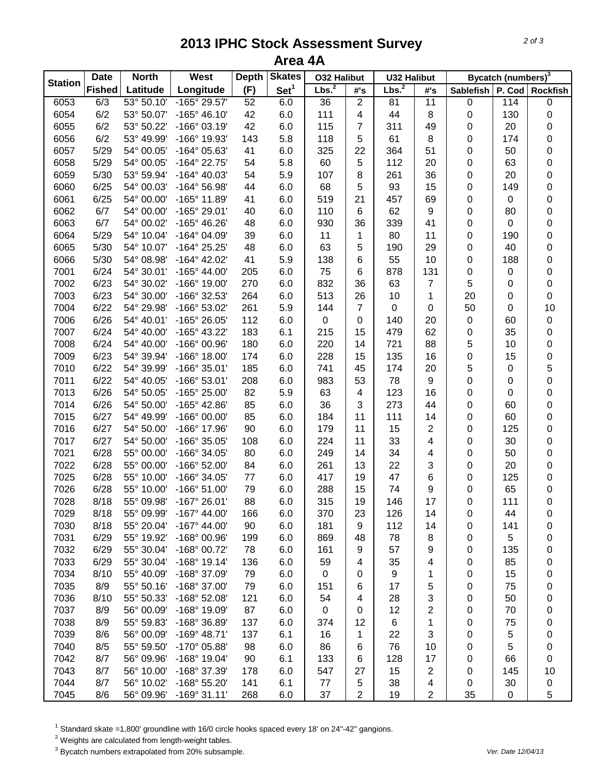## **2013 IPHC Stock Assessment Survey Area 4A**

| <b>Station</b> | <b>Date</b>   | <b>North</b> | West                  | <b>Depth</b> | <b>Skates</b>    | <b>032 Halibut</b> |                         | <b>U32 Halibut</b> |                  | Bycatch (numbers) <sup>3</sup> |           |                 |
|----------------|---------------|--------------|-----------------------|--------------|------------------|--------------------|-------------------------|--------------------|------------------|--------------------------------|-----------|-----------------|
|                | <b>Fished</b> | Latitude     | Longitude             | (F)          | Set <sup>1</sup> | Lbs. <sup>2</sup>  | #'s                     | Lbs. <sup>2</sup>  | #'s              | <b>Sablefish</b>               |           | P. Cod Rockfish |
| 6053           | 6/3           | 53° 50.10'   | $-165^{\circ} 29.57'$ | 52           | 6.0              | 36                 | $\overline{2}$          | 81                 | 11               | 0                              | 114       | $\pmb{0}$       |
| 6054           | 6/2           | 53° 50.07'   | $-165^{\circ}$ 46.10' | 42           | 6.0              | 111                | 4                       | 44                 | 8                | 0                              | 130       | $\pmb{0}$       |
| 6055           | 6/2           | 53° 50.22'   | $-166°03.19'$         | 42           | 6.0              | 115                | 7                       | 311                | 49               | 0                              | 20        | $\pmb{0}$       |
| 6056           | 6/2           | 53° 49.99'   | -166° 19.93'          | 143          | 5.8              | 118                | 5                       | 61                 | $\bf 8$          | 0                              | 174       | $\pmb{0}$       |
| 6057           | 5/29          | 54° 00.05'   | -164° 05.63'          | 41           | 6.0              | 325                | 22                      | 364                | 51               | 0                              | 50        | $\pmb{0}$       |
| 6058           | 5/29          | 54° 00.05'   | -164° 22.75'          | 54           | 5.8              | 60                 | 5                       | 112                | 20               | 0                              | 63        | $\mathbf 0$     |
| 6059           | 5/30          | 53° 59.94'   | $-164^{\circ}$ 40.03' | 54           | 5.9              | 107                | 8                       | 261                | 36               | 0                              | 20        | $\mathbf 0$     |
| 6060           | 6/25          | 54° 00.03'   | $-164^{\circ} 56.98'$ | 44           | 6.0              | 68                 | 5                       | 93                 | 15               | 0                              | 149       | $\mathbf 0$     |
| 6061           | 6/25          | 54° 00.00'   | -165° 11.89'          | 41           | 6.0              | 519                | 21                      | 457                | 69               | 0                              | $\pmb{0}$ | $\pmb{0}$       |
| 6062           | 6/7           | 54° 00.00'   | -165° 29.01'          | 40           | 6.0              | 110                | 6                       | 62                 | 9                | 0                              | 80        | $\mathbf 0$     |
| 6063           | 6/7           | 54° 00.02'   | -165° 46.26'          | 48           | 6.0              | 930                | 36                      | 339                | 41               | 0                              | $\pmb{0}$ | $\mathbf 0$     |
| 6064           | 5/29          | 54° 10.04'   | -164° 04.09'          | 39           | 6.0              | 11                 | 1                       | 80                 | 11               | 0                              | 190       | $\mathbf 0$     |
| 6065           | 5/30          | 54° 10.07'   | -164° 25.25'          | 48           | 6.0              | 63                 | 5                       | 190                | 29               | 0                              | 40        | $\pmb{0}$       |
| 6066           | 5/30          | 54° 08.98'   | $-164^{\circ}$ 42.02' | 41           | 5.9              | 138                | 6                       | 55                 | 10               | 0                              | 188       | 0               |
| 7001           | 6/24          | 54° 30.01'   | $-165^{\circ}$ 44.00' | 205          | 6.0              | 75                 | 6                       | 878                | 131              | 0                              | 0         | $\mathbf 0$     |
| 7002           | 6/23          | 54° 30.02'   | -166° 19.00'          | 270          | 6.0              | 832                | 36                      | 63                 | 7                | 5                              | 0         | $\mathbf 0$     |
| 7003           | 6/23          | 54° 30.00'   | -166° 32.53'          | 264          | 6.0              | 513                | 26                      | 10                 | 1                | 20                             | 0         | $\mathbf 0$     |
| 7004           | 6/22          | 54° 29.98'   | -166° 53.02'          | 261          | 5.9              | 144                | $\overline{7}$          | $\pmb{0}$          | 0                | 50                             | 0         | 10              |
| 7006           | 6/26          | 54° 40.01'   | -165° 26.05'          | 112          | 6.0              | 0                  | 0                       | 140                | 20               | 0                              | 60        | $\mathsf 0$     |
| 7007           | 6/24          | 54° 40.00'   | -165° 43.22'          | 183          | 6.1              | 215                | 15                      | 479                | 62               | 0                              | 35        | $\pmb{0}$       |
| 7008           | 6/24          | 54° 40.00'   | $-166^{\circ}$ 00.96' | 180          | 6.0              | 220                | 14                      | 721                | 88               | 5                              | 10        | $\pmb{0}$       |
| 7009           | 6/23          | 54° 39.94'   | $-166^{\circ}$ 18.00' | 174          | 6.0              | 228                | 15                      | 135                | 16               | 0                              | 15        | $\pmb{0}$       |
| 7010           | 6/22          | 54° 39.99'   | $-166°35.01'$         | 185          | 6.0              | 741                | 45                      | 174                | 20               | 5                              | 0         | 5               |
| 7011           | 6/22          | 54° 40.05'   | $-166°53.01'$         | 208          | 6.0              | 983                | 53                      | 78                 | $\boldsymbol{9}$ | 0                              | 0         | $\mathsf 0$     |
| 7013           | 6/26          | 54° 50.05'   | -165° 25.00'          | 82           | 5.9              | 63                 | $\overline{\mathbf{4}}$ | 123                | 16               | 0                              | $\pmb{0}$ | $\mathbf 0$     |
| 7014           | 6/26          | 54° 50.00'   | -165° 42.86'          | 85           | 6.0              | 36                 | 3                       | 273                | 44               | 0                              | 60        | $\pmb{0}$       |
| 7015           | 6/27          | 54° 49.99'   | -166° 00.00'          | 85           | 6.0              | 184                | 11                      | 111                | 14               | 0                              | 60        | 0               |
| 7016           | 6/27          | 54° 50.00'   | -166° 17.96'          | 90           | 6.0              | 179                | 11                      | 15                 | $\overline{2}$   | 0                              | 125       | $\mathbf 0$     |
| 7017           | 6/27          | 54° 50.00'   | -166° 35.05'          | 108          | 6.0              | 224                | 11                      | 33                 | 4                | 0                              | 30        | $\mathbf 0$     |
| 7021           | 6/28          | 55° 00.00'   | -166° 34.05'          | 80           | 6.0              | 249                | 14                      | 34                 | 4                | 0                              | 50        | $\mathbf 0$     |
| 7022           | 6/28          | 55° 00.00'   | -166° 52.00'          | 84           | 6.0              | 261                | 13                      | 22                 | 3                | 0                              | 20        | $\mathbf 0$     |
| 7025           | 6/28          | 55° 10.00'   | -166° 34.05'          | 77           | 6.0              | 417                | 19                      | 47                 | 6                | 0                              | 125       | $\mathbf 0$     |
| 7026           | 6/28          | 55° 10.00'   | $-166°51.00'$         | 79           | 6.0              | 288                | 15                      | 74                 | 9                | 0                              | 65        | $\mathbf 0$     |
| 7028           | 8/18          | 55° 09.98'   | $-167^{\circ}$ 26.01' | 88           | 6.0              | 315                | 19                      | 146                | 17               | 0                              | 111       | $\mathbf 0$     |
| 7029           | 8/18          | 55° 09.99'   | $-167^\circ$ 44.00    | 166          | 6.0              | 370                | 23                      | 126                | 14               | 0                              | 44        | 0               |
| 7030           | 8/18          | 55° 20.04'   | $-167^\circ$ 44.00    | 90           | 6.0              | 181                | 9                       | 112                | 14               | 0                              | 141       | 0               |
| 7031           | 6/29          | 55° 19.92'   | $-168^{\circ}$ 00.96' | 199          | 6.0              | 869                | 48                      | 78                 | 8                | 0                              | 5         | 0               |
| 7032           | 6/29          | 55° 30.04'   | -168° 00.72'          | 78           | 6.0              | 161                | 9                       | 57                 | 9                | 0                              | 135       | 0               |
| 7033           | 6/29          | 55° 30.04'   | $-168°$ 19.14'        | 136          | 6.0              | 59                 | 4                       | 35                 | 4                | 0                              | 85        | 0               |
| 7034           | 8/10          | 55° 40.09'   | -168° 37.09'          | 79           | 6.0              | 0                  | 0                       | 9                  | 1                | 0                              | 15        | 0               |
| 7035           | 8/9           | 55° 50.16'   | -168° 37.00'          | 79           | 6.0              | 151                | 6                       | 17                 | 5                | 0                              | 75        | 0               |
| 7036           | 8/10          | 55° 50.33'   | -168° 52.08'          | 121          | 6.0              | 54                 | 4                       | 28                 | 3                | 0                              | 50        | 0               |
| 7037           | 8/9           | 56° 00.09'   | -168° 19.09'          | 87           | 6.0              | 0                  | 0                       | 12                 | 2                | 0                              | 70        | 0               |
| 7038           | 8/9           | 55° 59.83'   | -168° 36.89'          | 137          | 6.0              | 374                | 12                      | 6                  | 1                | 0                              | 75        | 0               |
| 7039           | 8/6           | 56° 00.09'   | $-169°$ 48.71'        | 137          | 6.1              | 16                 | 1                       | 22                 | 3                | 0                              | 5         | 0               |
| 7040           | 8/5           | 55° 59.50'   | -170° 05.88'          | 98           | 6.0              | 86                 | 6                       | 76                 | 10               | 0                              | 5         | 0               |
| 7042           | 8/7           | 56° 09.96'   | -168° 19.04'          | 90           | 6.1              | 133                | 6                       | 128                | 17               | 0                              | 66        | $\pmb{0}$       |
| 7043           | 8/7           | 56° 10.00'   | -168° 37.39'          | 178          | 6.0              | 547                | 27                      | 15                 | $\overline{c}$   | 0                              | 145       | 10              |
| 7044           | 8/7           | 56° 10.02'   | -168° 55.20'          | 141          | 6.1              | 77                 | 5                       | 38                 | 4                | 0                              | 30        | 0               |
| 7045           | 8/6           | 56° 09.96'   | $-169°31.11'$         | 268          | 6.0              | 37                 | $\overline{c}$          | 19                 | $\overline{c}$   | 35                             | 0         | 5               |

<sup>1</sup> Standard skate =1,800' groundline with 16/0 circle hooks spaced every 18' on 24"-42" gangions.

 $2$  Weights are calculated from length-weight tables.

<sup>3</sup> Bycatch numbers extrapolated from 20% subsample. *Ver. Date 12/04/13*